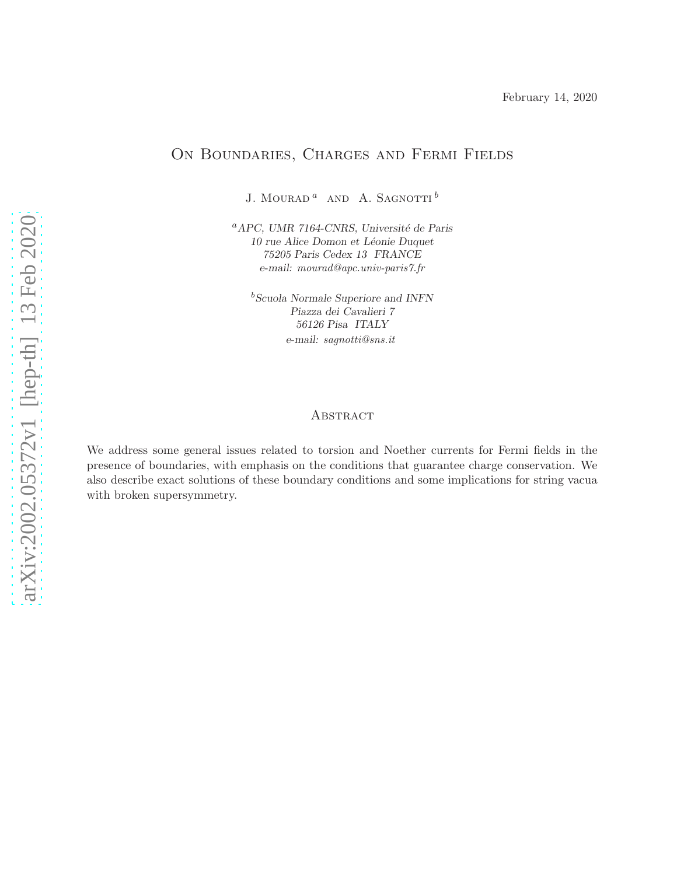February 14, 2020

# On Boundaries, Charges and Fermi Fields

J. MOURAD $^a\;$  AND  $\;$  A. SAGNOTTI  $^b\;$ 

 ${}^{a}$ APC, UMR 7164-CNRS, Université de Paris 10 rue Alice Domon et Léonie Duquet 75205 Paris Cedex 13 FRANCE e-mail: mourad@apc.univ-paris7.fr

<sup>b</sup>Scuola Normale Superiore and INFN Piazza dei Cavalieri 7 56126 Pisa ITALY e-mail: sagnotti@sns.it

#### **ABSTRACT**

We address some general issues related to torsion and Noether currents for Fermi fields in the presence of boundaries, with emphasis on the conditions that guarantee charge conservation. We also describe exact solutions of these boundary conditions and some implications for string vacua with broken supersymmetry.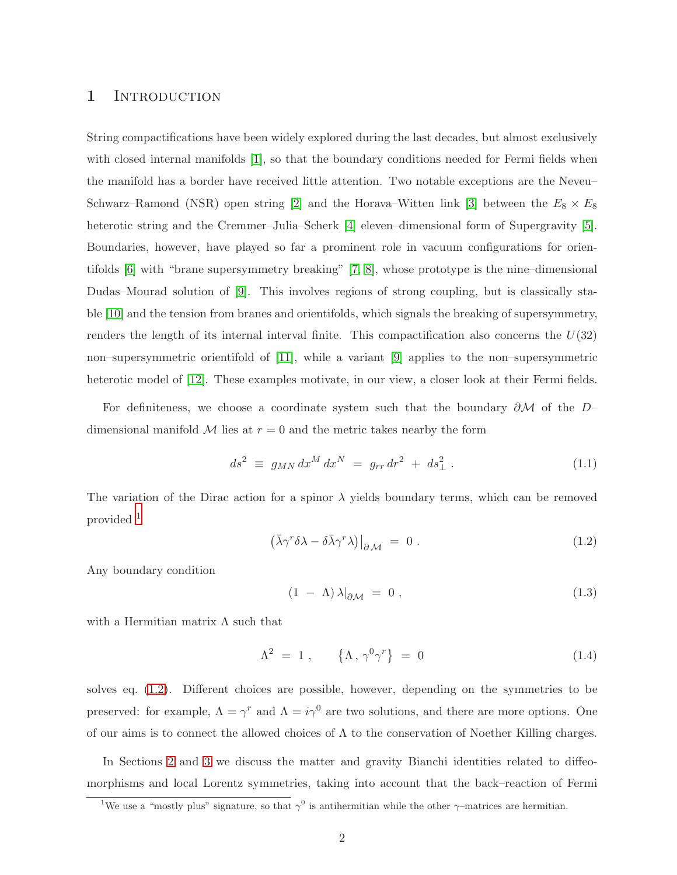#### 1 INTRODUCTION

String compactifications have been widely explored during the last decades, but almost exclusively with closed internal manifolds [\[1\]](#page-10-0), so that the boundary conditions needed for Fermi fields when the manifold has a border have received little attention. Two notable exceptions are the Neveu– Schwarz–Ramond (NSR) open string [\[2\]](#page-10-1) and the Horava–Witten link [\[3\]](#page-10-2) between the  $E_8 \times E_8$ heterotic string and the Cremmer–Julia–Scherk [\[4\]](#page-10-3) eleven–dimensional form of Supergravity [\[5\]](#page-10-4). Boundaries, however, have played so far a prominent role in vacuum configurations for orientifolds [\[6\]](#page-10-5) with "brane supersymmetry breaking" [\[7,](#page-11-0) [8\]](#page-11-1), whose prototype is the nine–dimensional Dudas–Mourad solution of [\[9\]](#page-11-2). This involves regions of strong coupling, but is classically stable [\[10\]](#page-11-3) and the tension from branes and orientifolds, which signals the breaking of supersymmetry, renders the length of its internal interval finite. This compactification also concerns the  $U(32)$ non–supersymmetric orientifold of [\[11\]](#page-11-4), while a variant [\[9\]](#page-11-2) applies to the non–supersymmetric heterotic model of [\[12\]](#page-11-5). These examples motivate, in our view, a closer look at their Fermi fields.

For definiteness, we choose a coordinate system such that the boundary ∂M of the D– dimensional manifold  $\mathcal M$  lies at  $r = 0$  and the metric takes nearby the form

<span id="page-1-2"></span>
$$
ds^2 \equiv g_{MN} dx^M dx^N = g_{rr} dr^2 + ds^2_{\perp} . \tag{1.1}
$$

The variation of the Dirac action for a spinor  $\lambda$  yields boundary terms, which can be removed provided [1](#page-1-0)

<span id="page-1-1"></span>
$$
\left. \left( \bar{\lambda} \gamma^r \delta \lambda - \delta \bar{\lambda} \gamma^r \lambda \right) \right|_{\partial \mathcal{M}} = 0 \,. \tag{1.2}
$$

Any boundary condition

<span id="page-1-3"></span>
$$
(1 - \Lambda)\lambda|_{\partial \mathcal{M}} = 0 , \qquad (1.3)
$$

with a Hermitian matrix  $\Lambda$  such that

<span id="page-1-4"></span>
$$
\Lambda^2 = 1 , \qquad {\Lambda, \gamma^0 \gamma^r} = 0 \tag{1.4}
$$

solves eq. [\(1.2\)](#page-1-1). Different choices are possible, however, depending on the symmetries to be preserved: for example,  $\Lambda = \gamma^r$  and  $\Lambda = i\gamma^0$  are two solutions, and there are more options. One of our aims is to connect the allowed choices of  $\Lambda$  to the conservation of Noether Killing charges.

In Sections [2](#page-2-0) and [3](#page-3-0) we discuss the matter and gravity Bianchi identities related to diffeomorphisms and local Lorentz symmetries, taking into account that the back–reaction of Fermi

<span id="page-1-0"></span><sup>&</sup>lt;sup>1</sup>We use a "mostly plus" signature, so that  $\gamma^0$  is antihermitian while the other  $\gamma$ -matrices are hermitian.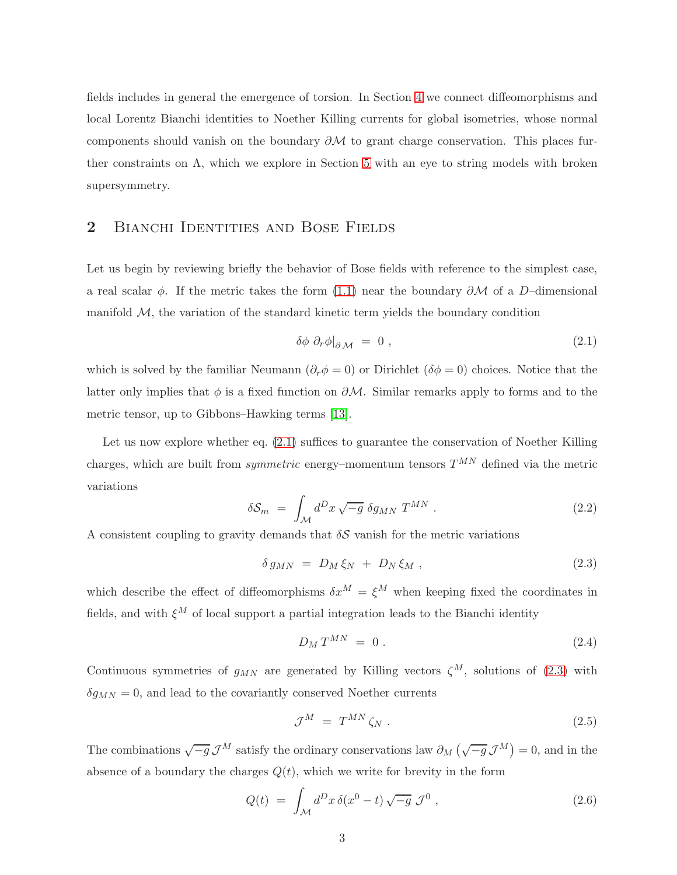fields includes in general the emergence of torsion. In Section [4](#page-6-0) we connect diffeomorphisms and local Lorentz Bianchi identities to Noether Killing currents for global isometries, whose normal components should vanish on the boundary  $\partial M$  to grant charge conservation. This places further constraints on  $\Lambda$ , which we explore in Section [5](#page-7-0) with an eye to string models with broken supersymmetry.

#### <span id="page-2-0"></span>2 BIANCHI IDENTITIES AND BOSE FIELDS

Let us begin by reviewing briefly the behavior of Bose fields with reference to the simplest case, a real scalar  $\phi$ . If the metric takes the form [\(1.1\)](#page-1-2) near the boundary  $\partial M$  of a D–dimensional manifold  $M$ , the variation of the standard kinetic term yields the boundary condition

<span id="page-2-1"></span>
$$
\delta \phi \partial_r \phi \vert_{\partial \mathcal{M}} = 0 , \qquad (2.1)
$$

which is solved by the familiar Neumann ( $\partial_r \phi = 0$ ) or Dirichlet ( $\delta \phi = 0$ ) choices. Notice that the latter only implies that  $\phi$  is a fixed function on  $\partial M$ . Similar remarks apply to forms and to the metric tensor, up to Gibbons–Hawking terms [\[13\]](#page-11-6).

Let us now explore whether eq.  $(2.1)$  suffices to guarantee the conservation of Noether Killing charges, which are built from *symmetric* energy–momentum tensors  $T^{MN}$  defined via the metric variations

$$
\delta \mathcal{S}_m = \int_{\mathcal{M}} d^D x \sqrt{-g} \ \delta g_{MN} \ T^{MN} \ . \tag{2.2}
$$

A consistent coupling to gravity demands that  $\delta S$  vanish for the metric variations

<span id="page-2-2"></span>
$$
\delta g_{MN} = D_M \xi_N + D_N \xi_M , \qquad (2.3)
$$

which describe the effect of diffeomorphisms  $\delta x^M = \xi^M$  when keeping fixed the coordinates in fields, and with  $\xi^M$  of local support a partial integration leads to the Bianchi identity

$$
D_M T^{MN} = 0. \t\t(2.4)
$$

Continuous symmetries of  $g_{MN}$  are generated by Killing vectors  $\zeta^M$ , solutions of [\(2.3\)](#page-2-2) with  $\delta g_{MN} = 0$ , and lead to the covariantly conserved Noether currents

$$
\mathcal{J}^M = T^{MN} \zeta_N \,. \tag{2.5}
$$

The combinations  $\sqrt{-g} \mathcal{J}^M$  satisfy the ordinary conservations law  $\partial_M(\sqrt{-g} \mathcal{J}^M) = 0$ , and in the absence of a boundary the charges  $Q(t)$ , which we write for brevity in the form

$$
Q(t) = \int_{\mathcal{M}} d^D x \, \delta(x^0 - t) \sqrt{-g} \, \mathcal{J}^0 \,, \tag{2.6}
$$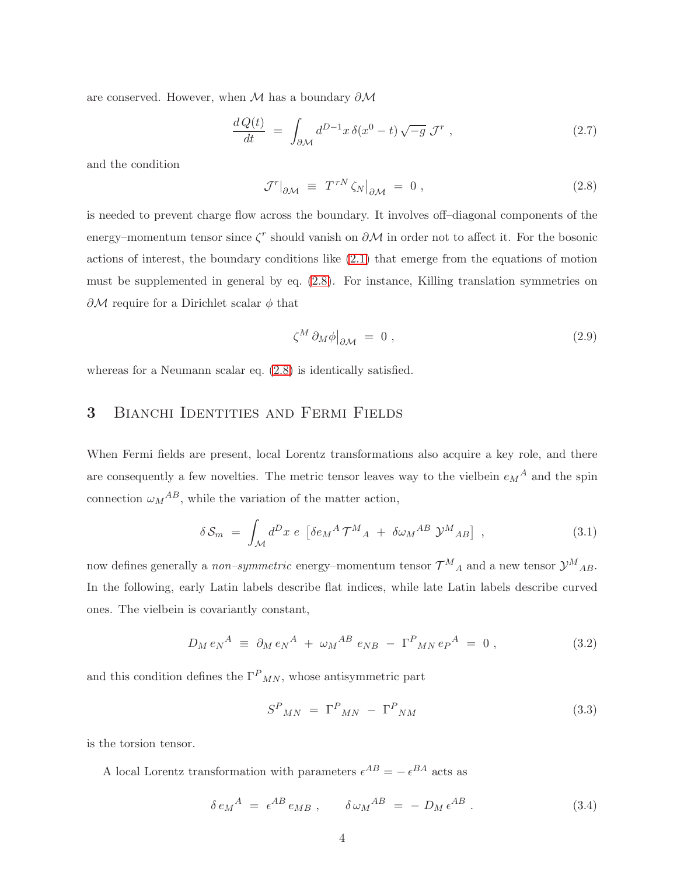are conserved. However, when  $M$  has a boundary  $\partial M$ 

$$
\frac{d\,Q(t)}{dt} \ = \ \int_{\partial \mathcal{M}} d^{D-1}x \,\delta(x^0 - t) \sqrt{-g} \,\mathcal{J}^r \ , \tag{2.7}
$$

and the condition

<span id="page-3-1"></span>
$$
\mathcal{J}^r|_{\partial \mathcal{M}} \equiv T^{rN} \zeta_N|_{\partial \mathcal{M}} = 0 , \qquad (2.8)
$$

is needed to prevent charge flow across the boundary. It involves off–diagonal components of the energy–momentum tensor since  $\zeta^r$  should vanish on  $\partial \mathcal{M}$  in order not to affect it. For the bosonic actions of interest, the boundary conditions like [\(2.1\)](#page-2-1) that emerge from the equations of motion must be supplemented in general by eq. [\(2.8\)](#page-3-1). For instance, Killing translation symmetries on  $\partial M$  require for a Dirichlet scalar  $\phi$  that

$$
\zeta^M \, \partial_M \phi \big|_{\partial \mathcal{M}} = 0 \;, \tag{2.9}
$$

<span id="page-3-0"></span>whereas for a Neumann scalar eq. [\(2.8\)](#page-3-1) is identically satisfied.

### 3 Bianchi Identities and Fermi Fields

When Fermi fields are present, local Lorentz transformations also acquire a key role, and there are consequently a few novelties. The metric tensor leaves way to the vielbein  $e_M{}^A$  and the spin connection  $\omega_M{}^{AB}$ , while the variation of the matter action,

<span id="page-3-2"></span>
$$
\delta S_m = \int_{\mathcal{M}} d^D x \ e \ \left[ \delta e_M^A \mathcal{T}^M{}_A \ + \ \delta \omega_M{}^{AB} \ \mathcal{Y}^M{}_{AB} \right] \ , \tag{3.1}
$$

now defines generally a *non–symmetric* energy–momentum tensor  $\mathcal{T}^M{}_A$  and a new tensor  $\mathcal{Y}^M{}_{AB}$ . In the following, early Latin labels describe flat indices, while late Latin labels describe curved ones. The vielbein is covariantly constant,

$$
D_M e_N{}^A \equiv \partial_M e_N{}^A + \omega_M{}^{AB} e_{NB} - \Gamma^P{}_{MN} e_P{}^A = 0 \,, \tag{3.2}
$$

and this condition defines the  $\Gamma^P{}_{MN}$ , whose antisymmetric part

$$
S^P{}_{MN} = \Gamma^P{}_{MN} - \Gamma^P{}_{NM} \tag{3.3}
$$

is the torsion tensor.

A local Lorentz transformation with parameters  $\epsilon^{AB} = -\epsilon^{BA}$  acts as

$$
\delta e_M{}^A = \epsilon^{AB} e_{MB} , \qquad \delta \omega_M{}^{AB} = - D_M \epsilon^{AB} . \qquad (3.4)
$$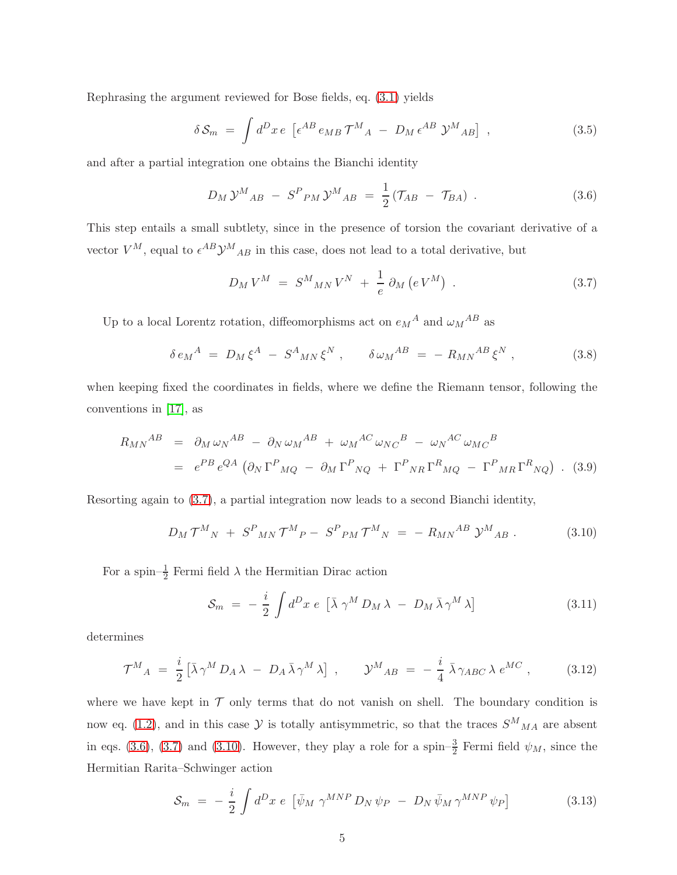Rephrasing the argument reviewed for Bose fields, eq. [\(3.1\)](#page-3-2) yields

$$
\delta S_m = \int d^D x \, e \, \left[ \epsilon^{AB} \, e_{MB} \, \mathcal{T}^M{}_A \, - \, D_M \, \epsilon^{AB} \, \mathcal{Y}^M{}_{AB} \right] \,, \tag{3.5}
$$

and after a partial integration one obtains the Bianchi identity

<span id="page-4-1"></span>
$$
D_M \mathcal{Y}^M{}_{AB} - S^P{}_{PM} \mathcal{Y}^M{}_{AB} = \frac{1}{2} (\mathcal{T}_{AB} - \mathcal{T}_{BA}) \ . \tag{3.6}
$$

This step entails a small subtlety, since in the presence of torsion the covariant derivative of a vector  $V^M$ , equal to  $\epsilon^{AB} \mathcal{Y}^M{}_{AB}$  in this case, does not lead to a total derivative, but

<span id="page-4-0"></span>
$$
D_M V^M = S^M{}_{MN} V^N + \frac{1}{e} \partial_M (e V^M) \tag{3.7}
$$

Up to a local Lorentz rotation, diffeomorphisms act on  $e_M{}^A$  and  $\omega_M{}^{AB}$  as

$$
\delta e_M^A = D_M \xi^A - S^A{}_{MN} \xi^N , \qquad \delta \omega_M{}^{AB} = -R_{MN}{}^{AB} \xi^N , \qquad (3.8)
$$

when keeping fixed the coordinates in fields, where we define the Riemann tensor, following the conventions in [\[17\]](#page-11-7), as

$$
R_{MN}{}^{AB} = \partial_M \omega_N{}^{AB} - \partial_N \omega_M{}^{AB} + \omega_M{}^{AC} \omega_{NC}{}^B - \omega_N{}^{AC} \omega_{MC}{}^B
$$
  
=  $e^{PB} e^{QA} \left( \partial_N \Gamma^P{}_{MQ} - \partial_M \Gamma^P{}_{NQ} + \Gamma^P{}_{NR} \Gamma^R{}_{MQ} - \Gamma^P{}_{MR} \Gamma^R{}_{NQ} \right)$ . (3.9)

Resorting again to [\(3.7\)](#page-4-0), a partial integration now leads to a second Bianchi identity,

<span id="page-4-2"></span>
$$
D_M \mathcal{T}^M{}_N \; + \; S^P{}_{MN} \mathcal{T}^M{}_P - \; S^P{}_{PM} \mathcal{T}^M{}_N \; = \; - \; R_{MN}{}^{AB} \; \mathcal{Y}^M{}_{AB} \; . \tag{3.10}
$$

For a spin– $\frac{1}{2}$  Fermi field  $\lambda$  the Hermitian Dirac action

$$
S_m = -\frac{i}{2} \int d^D x \ e \ [\bar{\lambda} \ \gamma^M D_M \lambda - D_M \bar{\lambda} \gamma^M \lambda] \tag{3.11}
$$

determines

<span id="page-4-3"></span>
$$
\mathcal{T}^{M}{}_{A} = \frac{i}{2} \left[ \bar{\lambda} \gamma^{M} D_{A} \lambda - D_{A} \bar{\lambda} \gamma^{M} \lambda \right] , \qquad \mathcal{Y}^{M}{}_{AB} = -\frac{i}{4} \bar{\lambda} \gamma_{ABC} \lambda e^{MC} , \qquad (3.12)
$$

where we have kept in  $\mathcal T$  only terms that do not vanish on shell. The boundary condition is now eq. [\(1.2\)](#page-1-1), and in this case  $\mathcal Y$  is totally antisymmetric, so that the traces  $S^M{}_{MA}$  are absent in eqs. [\(3.6\)](#page-4-1), [\(3.7\)](#page-4-0) and [\(3.10\)](#page-4-2). However, they play a role for a spin– $\frac{3}{2}$  Fermi field  $\psi_M$ , since the Hermitian Rarita–Schwinger action

$$
S_m = -\frac{i}{2} \int d^D x \ e \ \left[ \bar{\psi}_M \ \gamma^{MNP} D_N \psi_P - D_N \bar{\psi}_M \gamma^{MNP} \psi_P \right] \tag{3.13}
$$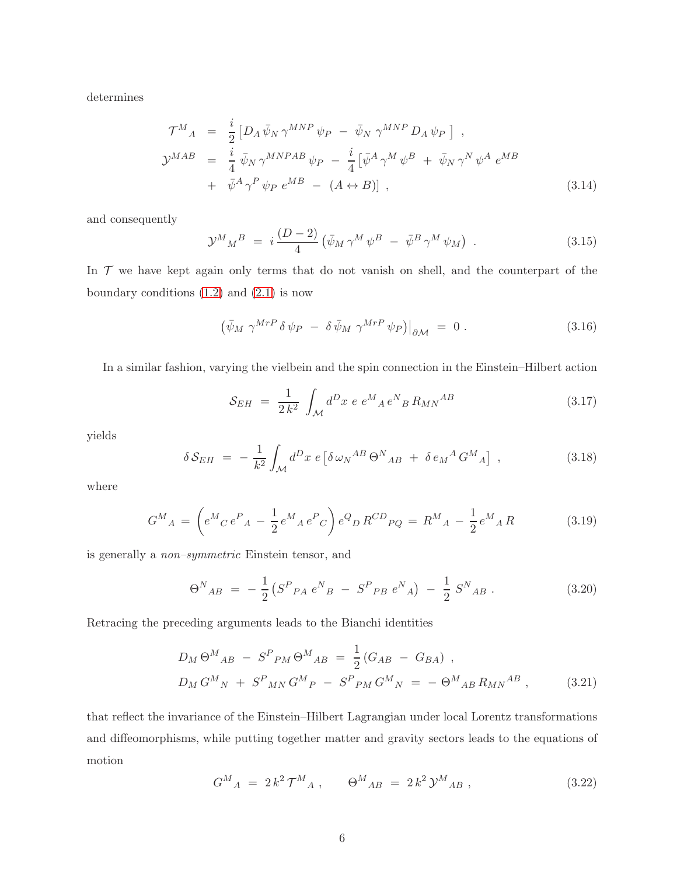determines

$$
\mathcal{T}^{M}{}_{A} = \frac{i}{2} \left[ D_{A} \bar{\psi}_{N} \gamma^{MNP} \psi_{P} - \bar{\psi}_{N} \gamma^{MNP} D_{A} \psi_{P} \right],
$$
  
\n
$$
\mathcal{Y}^{MAB} = \frac{i}{4} \bar{\psi}_{N} \gamma^{MNPAB} \psi_{P} - \frac{i}{4} \left[ \bar{\psi}^{A} \gamma^{M} \psi^{B} + \bar{\psi}_{N} \gamma^{N} \psi^{A} e^{MB} \right.
$$
  
\n
$$
+ \bar{\psi}^{A} \gamma^{P} \psi_{P} e^{MB} - (A \leftrightarrow B) \right],
$$
\n(3.14)

and consequently

$$
\mathcal{Y}^{M}{}_{M}{}^{B} = i \frac{(D-2)}{4} \left( \bar{\psi}_{M} \gamma^{M} \psi^{B} - \bar{\psi}^{B} \gamma^{M} \psi_{M} \right) . \tag{3.15}
$$

In  $\mathcal T$  we have kept again only terms that do not vanish on shell, and the counterpart of the boundary conditions  $(1.2)$  and  $(2.1)$  is now

$$
\left(\bar{\psi}_M \; \gamma^{MrP} \, \delta \, \psi_P \; - \; \delta \, \bar{\psi}_M \; \gamma^{MrP} \, \psi_P\right)\big|_{\partial \mathcal{M}} \; = \; 0 \; . \tag{3.16}
$$

In a similar fashion, varying the vielbein and the spin connection in the Einstein–Hilbert action

$$
S_{EH} = \frac{1}{2 k^2} \int_{\mathcal{M}} d^D x \ e \ e^M{}_A \, e^N{}_B \, R_{MN}{}^{AB} \tag{3.17}
$$

yields

$$
\delta \mathcal{S}_{EH} = -\frac{1}{k^2} \int_{\mathcal{M}} d^D x \ e \left[ \delta \omega_N^{AB} \Theta^N_{AB} + \delta e_M^A G^M_{\ A} \right] \ , \tag{3.18}
$$

where

$$
G^{M}{}_{A} = \left( e^{M}{}_{C} e^{P}{}_{A} - \frac{1}{2} e^{M}{}_{A} e^{P}{}_{C} \right) e^{Q}{}_{D} R^{CD}{}_{PQ} = R^{M}{}_{A} - \frac{1}{2} e^{M}{}_{A} R \tag{3.19}
$$

is generally a non–symmetric Einstein tensor, and

$$
\Theta^{N}{}_{AB} = -\frac{1}{2} \left( S^{P}{}_{PA} \, e^{N}{}_{B} - S^{P}{}_{PB} \, e^{N}{}_{A} \right) - \frac{1}{2} \, S^{N}{}_{AB} \,. \tag{3.20}
$$

Retracing the preceding arguments leads to the Bianchi identities

<span id="page-5-0"></span>
$$
D_M \Theta^M{}_{AB} - S^P{}_{PM} \Theta^M{}_{AB} = \frac{1}{2} (G_{AB} - G_{BA}),
$$
  
\n
$$
D_M G^M{}_N + S^P{}_{MN} G^M{}_P - S^P{}_{PM} G^M{}_N = - \Theta^M{}_{AB} R_{MN}{}^{AB},
$$
\n(3.21)

that reflect the invariance of the Einstein–Hilbert Lagrangian under local Lorentz transformations and diffeomorphisms, while putting together matter and gravity sectors leads to the equations of motion

$$
G^{M}{}_{A} = 2 k^{2} \mathcal{T}^{M}{}_{A} , \qquad \Theta^{M}{}_{AB} = 2 k^{2} \mathcal{Y}^{M}{}_{AB} , \qquad (3.22)
$$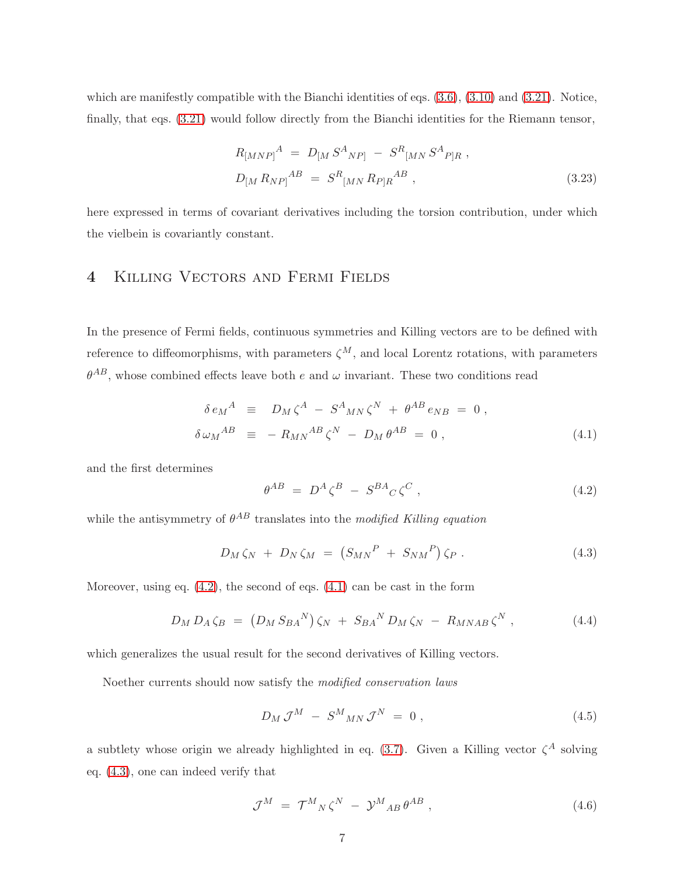which are manifestly compatible with the Bianchi identities of eqs.  $(3.6)$ ,  $(3.10)$  and  $(3.21)$ . Notice, finally, that eqs. [\(3.21\)](#page-5-0) would follow directly from the Bianchi identities for the Riemann tensor,

$$
R_{[MNP]}^{A} = D_{[M} S^{A}{}_{NP]} - S^{R}{}_{[MN} S^{A}{}_{P]R} ,
$$
  
\n
$$
D_{[M} R_{NP]}^{AB} = S^{R}{}_{[MN} R_{P]R}^{AB} ,
$$
\n(3.23)

here expressed in terms of covariant derivatives including the torsion contribution, under which the vielbein is covariantly constant.

### <span id="page-6-0"></span>4 Killing Vectors and Fermi Fields

In the presence of Fermi fields, continuous symmetries and Killing vectors are to be defined with reference to diffeomorphisms, with parameters  $\zeta^M$ , and local Lorentz rotations, with parameters  $\theta^{AB}$ , whose combined effects leave both e and  $\omega$  invariant. These two conditions read

<span id="page-6-2"></span>
$$
\delta e_M^A \equiv D_M \zeta^A - S^A{}_{MN} \zeta^N + \theta^{AB} e_{NB} = 0 ,
$$
  
\n
$$
\delta \omega_M^{AB} \equiv -R_{MN}^{AB} \zeta^N - D_M \theta^{AB} = 0 ,
$$
\n(4.1)

and the first determines

<span id="page-6-1"></span>
$$
\theta^{AB} = D^A \zeta^B - S^{BA} C \zeta^C , \qquad (4.2)
$$

while the antisymmetry of  $\theta^{AB}$  translates into the modified Killing equation

<span id="page-6-3"></span>
$$
D_M \zeta_N + D_N \zeta_M = (S_{MN}^P + S_{NM}^P) \zeta_P. \qquad (4.3)
$$

Moreover, using eq.  $(4.2)$ , the second of eqs.  $(4.1)$  can be cast in the form

$$
D_M D_A \zeta_B = (D_M S_{BA}^N) \zeta_N + S_{BA}^N D_M \zeta_N - R_{MNAB} \zeta^N, \qquad (4.4)
$$

which generalizes the usual result for the second derivatives of Killing vectors.

Noether currents should now satisfy the modified conservation laws

<span id="page-6-4"></span>
$$
D_M \mathcal{J}^M - S^M{}_{MN} \mathcal{J}^N = 0 \,, \tag{4.5}
$$

a subtlety whose origin we already highlighted in eq.  $(3.7)$ . Given a Killing vector  $\zeta^A$  solving eq. [\(4.3\)](#page-6-3), one can indeed verify that

$$
\mathcal{J}^M = \mathcal{T}^M{}_N \zeta^N - \mathcal{Y}^M{}_{AB} \theta^{AB} \,, \tag{4.6}
$$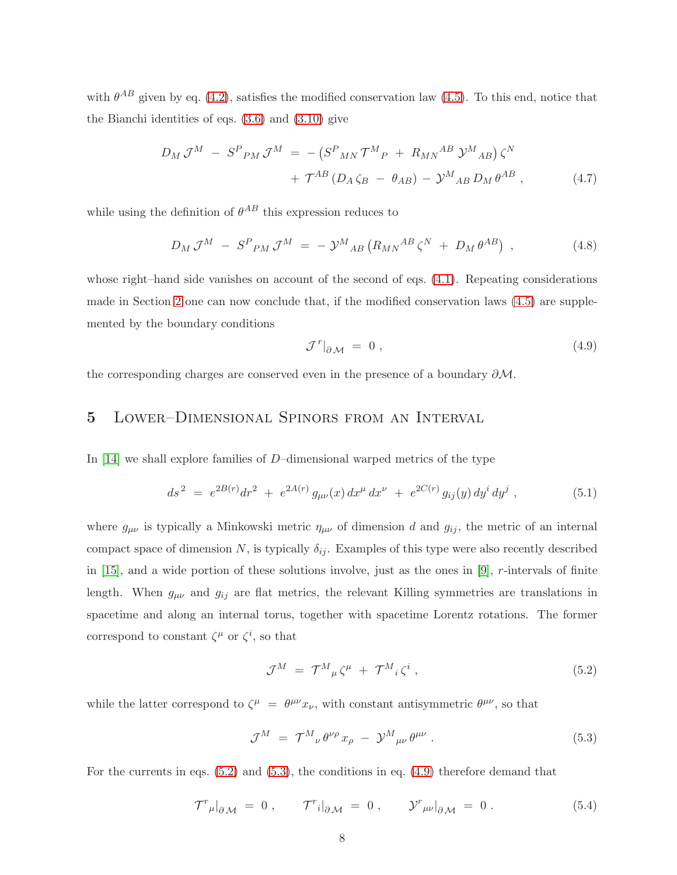with  $\theta^{AB}$  given by eq. [\(4.2\)](#page-6-1), satisfies the modified conservation law [\(4.5\)](#page-6-4). To this end, notice that the Bianchi identities of eqs.  $(3.6)$  and  $(3.10)$  give

$$
D_M \mathcal{J}^M - S^P{}_{PM} \mathcal{J}^M = -(S^P{}_{MN} \mathcal{T}^M{}_{P} + R_{MN}{}^{AB} \mathcal{Y}^M{}_{AB}) \zeta^N + \mathcal{T}^{AB} (D_A \zeta_B - \theta_{AB}) - \mathcal{Y}^M{}_{AB} D_M \theta^{AB} ,
$$
(4.7)

while using the definition of  $\theta^{AB}$  this expression reduces to

$$
D_M \mathcal{J}^M - S^P{}_{PM} \mathcal{J}^M = - \mathcal{Y}^M{}_{AB} \left( R_{MN}{}^{AB} \zeta^N + D_M \theta^{AB} \right) , \qquad (4.8)
$$

whose right–hand side vanishes on account of the second of eqs.  $(4.1)$ . Repeating considerations made in Section [2](#page-2-0) one can now conclude that, if the modified conservation laws [\(4.5\)](#page-6-4) are supplemented by the boundary conditions

<span id="page-7-3"></span>
$$
\mathcal{J}^r|_{\partial \mathcal{M}} = 0 , \qquad (4.9)
$$

<span id="page-7-0"></span>the corresponding charges are conserved even in the presence of a boundary ∂M.

# 5 Lower–Dimensional Spinors from an Interval

In [\[14\]](#page-11-8) we shall explore families of D–dimensional warped metrics of the type

$$
ds^{2} = e^{2B(r)}dr^{2} + e^{2A(r)}g_{\mu\nu}(x) dx^{\mu} dx^{\nu} + e^{2C(r)}g_{ij}(y) dy^{i} dy^{j} , \qquad (5.1)
$$

where  $g_{\mu\nu}$  is typically a Minkowski metric  $\eta_{\mu\nu}$  of dimension d and  $g_{ij}$ , the metric of an internal compact space of dimension N, is typically  $\delta_{ij}$ . Examples of this type were also recently described in [\[15\]](#page-11-9), and a wide portion of these solutions involve, just as the ones in [\[9\]](#page-11-2), r-intervals of finite length. When  $g_{\mu\nu}$  and  $g_{ij}$  are flat metrics, the relevant Killing symmetries are translations in spacetime and along an internal torus, together with spacetime Lorentz rotations. The former correspond to constant  $\zeta^{\mu}$  or  $\zeta^{i}$ , so that

<span id="page-7-1"></span>
$$
\mathcal{J}^M = \mathcal{T}^M{}_{\mu} \zeta^{\mu} + \mathcal{T}^M{}_{i} \zeta^i , \qquad (5.2)
$$

while the latter correspond to  $\zeta^{\mu} = \theta^{\mu\nu} x_{\nu}$ , with constant antisymmetric  $\theta^{\mu\nu}$ , so that

<span id="page-7-2"></span>
$$
\mathcal{J}^M = \mathcal{T}^M_{\ \nu} \theta^{\nu \rho} x_{\rho} - \mathcal{Y}^M_{\ \mu \nu} \theta^{\mu \nu} . \tag{5.3}
$$

For the currents in eqs. [\(5.2\)](#page-7-1) and [\(5.3\)](#page-7-2), the conditions in eq. [\(4.9\)](#page-7-3) therefore demand that

$$
\mathcal{T}^r{}_{\mu}|_{\partial \mathcal{M}} = 0 , \qquad \mathcal{T}^r{}_{i}|_{\partial \mathcal{M}} = 0 , \qquad \mathcal{Y}^r{}_{\mu\nu}|_{\partial \mathcal{M}} = 0 . \tag{5.4}
$$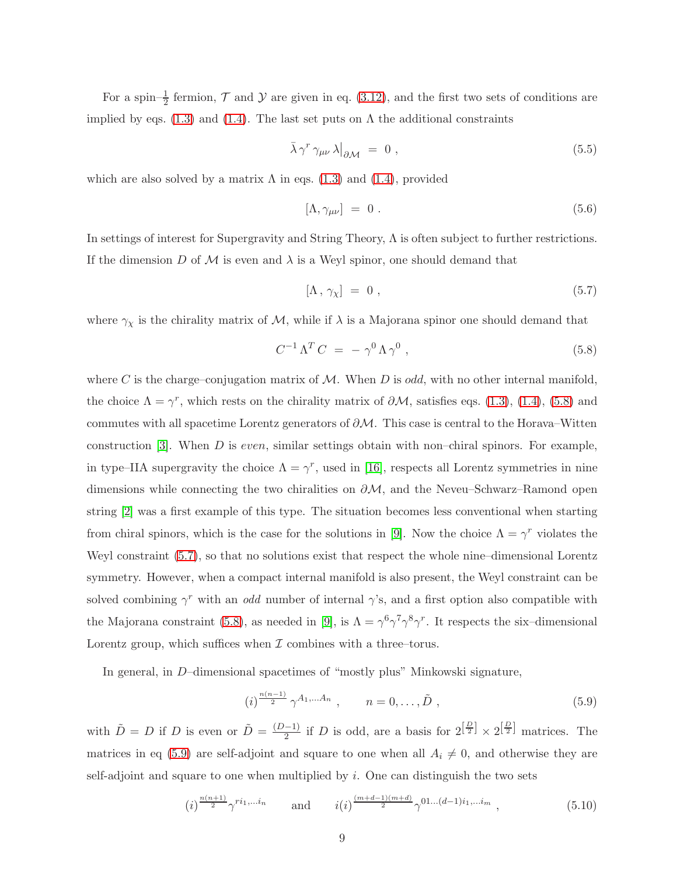For a spin– $\frac{1}{2}$  fermion,  $\mathcal T$  and  $\mathcal Y$  are given in eq. [\(3.12\)](#page-4-3), and the first two sets of conditions are implied by eqs. [\(1.3\)](#page-1-3) and [\(1.4\)](#page-1-4). The last set puts on  $\Lambda$  the additional constraints

$$
\bar{\lambda}\gamma^r\gamma_{\mu\nu}\lambda\big|_{\partial\mathcal{M}} = 0 , \qquad (5.5)
$$

which are also solved by a matrix  $\Lambda$  in eqs. [\(1.3\)](#page-1-3) and [\(1.4\)](#page-1-4), provided

$$
[\Lambda, \gamma_{\mu\nu}] = 0. \tag{5.6}
$$

In settings of interest for Supergravity and String Theory, Λ is often subject to further restrictions. If the dimension D of M is even and  $\lambda$  is a Weyl spinor, one should demand that

<span id="page-8-1"></span>
$$
[\Lambda, \gamma_{\chi}] = 0 , \qquad (5.7)
$$

where  $\gamma_{\chi}$  is the chirality matrix of  $\mathcal{M}$ , while if  $\lambda$  is a Majorana spinor one should demand that

<span id="page-8-0"></span>
$$
C^{-1} \Lambda^T C = - \gamma^0 \Lambda \gamma^0 , \qquad (5.8)
$$

where C is the charge–conjugation matrix of  $M$ . When D is odd, with no other internal manifold, the choice  $\Lambda = \gamma^r$ , which rests on the chirality matrix of  $\partial M$ , satisfies eqs. [\(1.3\)](#page-1-3), [\(1.4\)](#page-1-4), [\(5.8\)](#page-8-0) and commutes with all spacetime Lorentz generators of  $\partial M$ . This case is central to the Horava–Witten construction  $[3]$ . When D is *even*, similar settings obtain with non–chiral spinors. For example, in type–IIA supergravity the choice  $\Lambda = \gamma^r$ , used in [\[16\]](#page-11-10), respects all Lorentz symmetries in nine dimensions while connecting the two chiralities on  $\partial M$ , and the Neveu–Schwarz–Ramond open string [\[2\]](#page-10-1) was a first example of this type. The situation becomes less conventional when starting from chiral spinors, which is the case for the solutions in [\[9\]](#page-11-2). Now the choice  $\Lambda = \gamma^r$  violates the Weyl constraint [\(5.7\)](#page-8-1), so that no solutions exist that respect the whole nine–dimensional Lorentz symmetry. However, when a compact internal manifold is also present, the Weyl constraint can be solved combining  $\gamma^r$  with an *odd* number of internal  $\gamma$ 's, and a first option also compatible with the Majorana constraint [\(5.8\)](#page-8-0), as needed in [\[9\]](#page-11-2), is  $\Lambda = \gamma^6 \gamma^7 \gamma^8 \gamma^r$ . It respects the six-dimensional Lorentz group, which suffices when  $\mathcal I$  combines with a three–torus.

In general, in D–dimensional spacetimes of "mostly plus" Minkowski signature,

<span id="page-8-2"></span>
$$
(i)^{\frac{n(n-1)}{2}} \gamma^{A_1,...A_n} , \qquad n = 0,...,\tilde{D} , \qquad (5.9)
$$

with  $\tilde{D} = D$  if D is even or  $\tilde{D} = \frac{(D-1)}{2}$  $\frac{(-1)}{2}$  if D is odd, are a basis for  $2^{\left[\frac{D}{2}\right]} \times 2^{\left[\frac{D}{2}\right]}$  matrices. The matrices in eq [\(5.9\)](#page-8-2) are self-adjoint and square to one when all  $A_i \neq 0$ , and otherwise they are self-adjoint and square to one when multiplied by  $i$ . One can distinguish the two sets

$$
(i)^{\frac{n(n+1)}{2}} \gamma^{ri_1,...i_n} \qquad \text{and} \qquad i(i)^{\frac{(m+d-1)(m+d)}{2}} \gamma^{01...(d-1)i_1,...i_m} \tag{5.10}
$$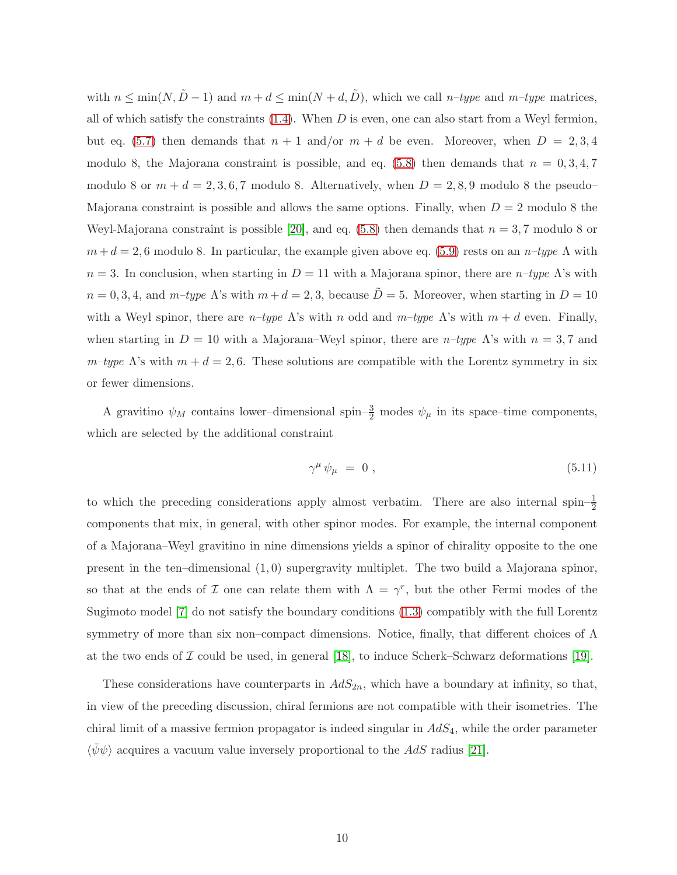with  $n \le \min(N, \tilde{D} - 1)$  and  $m + d \le \min(N + d, \tilde{D})$ , which we call  $n$ -type and  $m$ -type matrices, all of which satisfy the constraints  $(1.4)$ . When  $D$  is even, one can also start from a Weyl fermion, but eq. [\(5.7\)](#page-8-1) then demands that  $n + 1$  and/or  $m + d$  be even. Moreover, when  $D = 2, 3, 4$ modulo 8, the Majorana constraint is possible, and eq.  $(5.8)$  then demands that  $n = 0, 3, 4, 7$ modulo 8 or  $m + d = 2, 3, 6, 7$  modulo 8. Alternatively, when  $D = 2, 8, 9$  modulo 8 the pseudo-Majorana constraint is possible and allows the same options. Finally, when  $D = 2$  modulo 8 the Weyl-Majorana constraint is possible [\[20\]](#page-11-11), and eq.  $(5.8)$  then demands that  $n = 3, 7$  modulo 8 or  $m + d = 2, 6$  modulo 8. In particular, the example given above eq. [\(5.9\)](#page-8-2) rests on an  $n$ -type  $\Lambda$  with  $n = 3$ . In conclusion, when starting in  $D = 11$  with a Majorana spinor, there are  $n$ -type  $\Lambda$ 's with  $n = 0, 3, 4$ , and  $m$ -type  $\Lambda$ 's with  $m + d = 2, 3$ , because  $\tilde{D} = 5$ . Moreover, when starting in  $D = 10$ with a Weyl spinor, there are  $n$ -type  $\Lambda$ 's with n odd and  $m$ -type  $\Lambda$ 's with  $m + d$  even. Finally, when starting in  $D = 10$  with a Majorana–Weyl spinor, there are n–type  $\Lambda$ 's with  $n = 3, 7$  and  $m$ –type  $\Lambda$ 's with  $m + d = 2, 6$ . These solutions are compatible with the Lorentz symmetry in six or fewer dimensions.

A gravitino  $\psi_M$  contains lower–dimensional spin– $\frac{3}{2}$  modes  $\psi_\mu$  in its space–time components, which are selected by the additional constraint

$$
\gamma^{\mu} \psi_{\mu} = 0 , \qquad (5.11)
$$

to which the preceding considerations apply almost verbatim. There are also internal spin– $\frac{1}{2}$ components that mix, in general, with other spinor modes. For example, the internal component of a Majorana–Weyl gravitino in nine dimensions yields a spinor of chirality opposite to the one present in the ten–dimensional (1, 0) supergravity multiplet. The two build a Majorana spinor, so that at the ends of  $\mathcal I$  one can relate them with  $\Lambda = \gamma^r$ , but the other Fermi modes of the Sugimoto model [\[7\]](#page-11-0) do not satisfy the boundary conditions [\(1.3\)](#page-1-3) compatibly with the full Lorentz symmetry of more than six non–compact dimensions. Notice, finally, that different choices of Λ at the two ends of  $\mathcal I$  could be used, in general [\[18\]](#page-11-12), to induce Scherk–Schwarz deformations [\[19\]](#page-11-13).

These considerations have counterparts in  $AdS_{2n}$ , which have a boundary at infinity, so that, in view of the preceding discussion, chiral fermions are not compatible with their isometries. The chiral limit of a massive fermion propagator is indeed singular in  $AdS<sub>4</sub>$ , while the order parameter  $\langle \psi \psi \rangle$  acquires a vacuum value inversely proportional to the AdS radius [\[21\]](#page-11-14).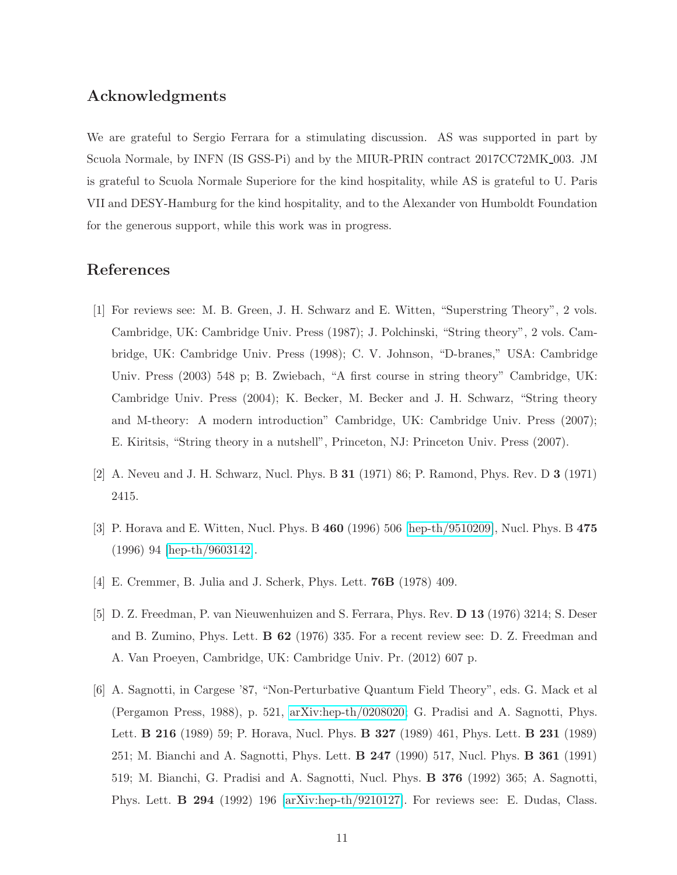### Acknowledgments

We are grateful to Sergio Ferrara for a stimulating discussion. AS was supported in part by Scuola Normale, by INFN (IS GSS-Pi) and by the MIUR-PRIN contract  $2017CC72MK_003$ . JM is grateful to Scuola Normale Superiore for the kind hospitality, while AS is grateful to U. Paris VII and DESY-Hamburg for the kind hospitality, and to the Alexander von Humboldt Foundation for the generous support, while this work was in progress.

# <span id="page-10-0"></span>References

- [1] For reviews see: M. B. Green, J. H. Schwarz and E. Witten, "Superstring Theory", 2 vols. Cambridge, UK: Cambridge Univ. Press (1987); J. Polchinski, "String theory", 2 vols. Cambridge, UK: Cambridge Univ. Press (1998); C. V. Johnson, "D-branes," USA: Cambridge Univ. Press (2003) 548 p; B. Zwiebach, "A first course in string theory" Cambridge, UK: Cambridge Univ. Press (2004); K. Becker, M. Becker and J. H. Schwarz, "String theory and M-theory: A modern introduction" Cambridge, UK: Cambridge Univ. Press (2007); E. Kiritsis, "String theory in a nutshell", Princeton, NJ: Princeton Univ. Press (2007).
- <span id="page-10-2"></span><span id="page-10-1"></span>[2] A. Neveu and J. H. Schwarz, Nucl. Phys. B 31 (1971) 86; P. Ramond, Phys. Rev. D 3 (1971) 2415.
- <span id="page-10-3"></span>[3] P. Horava and E. Witten, Nucl. Phys. B 460 (1996) 506 [\[hep-th/9510209\]](http://arxiv.org/abs/hep-th/9510209), Nucl. Phys. B 475 (1996) 94 [\[hep-th/9603142\]](http://arxiv.org/abs/hep-th/9603142).
- <span id="page-10-4"></span>[4] E. Cremmer, B. Julia and J. Scherk, Phys. Lett. 76B (1978) 409.
- [5] D. Z. Freedman, P. van Nieuwenhuizen and S. Ferrara, Phys. Rev. D 13 (1976) 3214; S. Deser and B. Zumino, Phys. Lett. B 62 (1976) 335. For a recent review see: D. Z. Freedman and A. Van Proeyen, Cambridge, UK: Cambridge Univ. Pr. (2012) 607 p.
- <span id="page-10-5"></span>[6] A. Sagnotti, in Cargese '87, "Non-Perturbative Quantum Field Theory", eds. G. Mack et al (Pergamon Press, 1988), p. 521, [arXiv:hep-th/0208020;](http://arxiv.org/abs/hep-th/0208020) G. Pradisi and A. Sagnotti, Phys. Lett. B 216 (1989) 59; P. Horava, Nucl. Phys. B 327 (1989) 461, Phys. Lett. B 231 (1989) 251; M. Bianchi and A. Sagnotti, Phys. Lett. B 247 (1990) 517, Nucl. Phys. B 361 (1991) 519; M. Bianchi, G. Pradisi and A. Sagnotti, Nucl. Phys. B 376 (1992) 365; A. Sagnotti, Phys. Lett. B 294 (1992) 196 [\[arXiv:hep-th/9210127\]](http://arxiv.org/abs/hep-th/9210127). For reviews see: E. Dudas, Class.